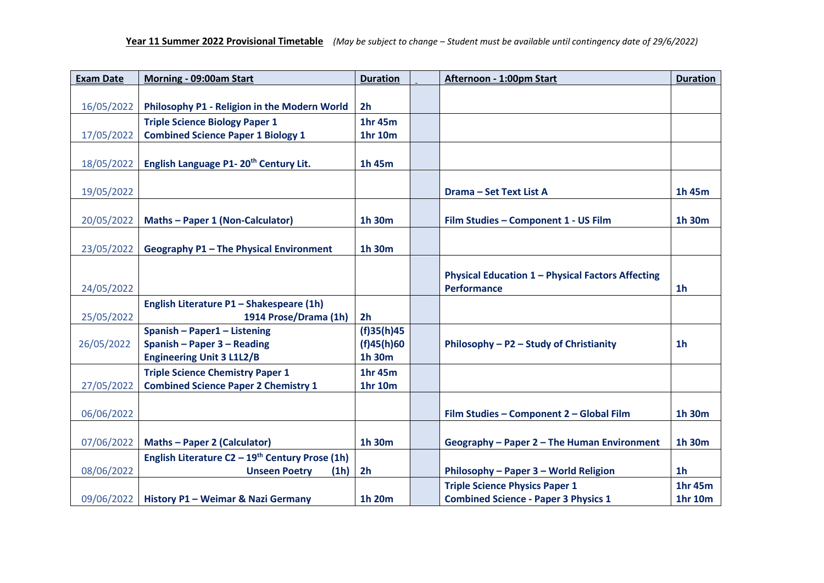| <b>Exam Date</b> | Morning - 09:00am Start                                       | <b>Duration</b>          | Afternoon - 1:00pm Start                                 | <b>Duration</b> |
|------------------|---------------------------------------------------------------|--------------------------|----------------------------------------------------------|-----------------|
|                  |                                                               |                          |                                                          |                 |
| 16/05/2022       | Philosophy P1 - Religion in the Modern World                  | 2 <sub>h</sub>           |                                                          |                 |
|                  | <b>Triple Science Biology Paper 1</b>                         | <b>1hr 45m</b>           |                                                          |                 |
| 17/05/2022       | <b>Combined Science Paper 1 Biology 1</b>                     | 1hr 10m                  |                                                          |                 |
|                  |                                                               |                          |                                                          |                 |
| 18/05/2022       | English Language P1-20 <sup>th</sup> Century Lit.             | 1h 45m                   |                                                          |                 |
|                  |                                                               |                          |                                                          |                 |
| 19/05/2022       |                                                               |                          | <b>Drama - Set Text List A</b>                           | 1h 45m          |
|                  |                                                               |                          |                                                          |                 |
| 20/05/2022       | Maths - Paper 1 (Non-Calculator)                              | 1h 30m                   | Film Studies - Component 1 - US Film                     | 1h 30m          |
|                  |                                                               |                          |                                                          |                 |
| 23/05/2022       | Geography P1 - The Physical Environment                       | 1h 30m                   |                                                          |                 |
|                  |                                                               |                          |                                                          |                 |
|                  |                                                               |                          | <b>Physical Education 1 - Physical Factors Affecting</b> |                 |
| 24/05/2022       |                                                               |                          | <b>Performance</b>                                       | 1 <sub>h</sub>  |
|                  | English Literature P1 - Shakespeare (1h)                      |                          |                                                          |                 |
| 25/05/2022       | 1914 Prose/Drama (1h)<br>Spanish - Paper1 - Listening         | 2 <sub>h</sub>           |                                                          |                 |
| 26/05/2022       | Spanish - Paper 3 - Reading                                   | (f)35(h)45<br>(f)45(h)60 | Philosophy - P2 - Study of Christianity                  | 1 <sub>h</sub>  |
|                  | <b>Engineering Unit 3 L1L2/B</b>                              | 1h 30m                   |                                                          |                 |
|                  | <b>Triple Science Chemistry Paper 1</b>                       | 1hr 45m                  |                                                          |                 |
| 27/05/2022       | <b>Combined Science Paper 2 Chemistry 1</b>                   | 1hr 10m                  |                                                          |                 |
|                  |                                                               |                          |                                                          |                 |
| 06/06/2022       |                                                               |                          | Film Studies - Component 2 - Global Film                 | 1h 30m          |
|                  |                                                               |                          |                                                          |                 |
| 07/06/2022       | <b>Maths-Paper 2 (Calculator)</b>                             | 1h 30m                   | Geography - Paper 2 - The Human Environment              | 1h 30m          |
|                  | English Literature $C2 - 19$ <sup>th</sup> Century Prose (1h) |                          |                                                          |                 |
| 08/06/2022       | <b>Unseen Poetry</b><br>(1h)                                  | 2 <sub>h</sub>           | Philosophy - Paper 3 - World Religion                    | 1 <sub>h</sub>  |
|                  |                                                               |                          | <b>Triple Science Physics Paper 1</b>                    | 1hr 45m         |
| 09/06/2022       | History P1 - Weimar & Nazi Germany                            | 1h 20m                   | <b>Combined Science - Paper 3 Physics 1</b>              | 1hr 10m         |